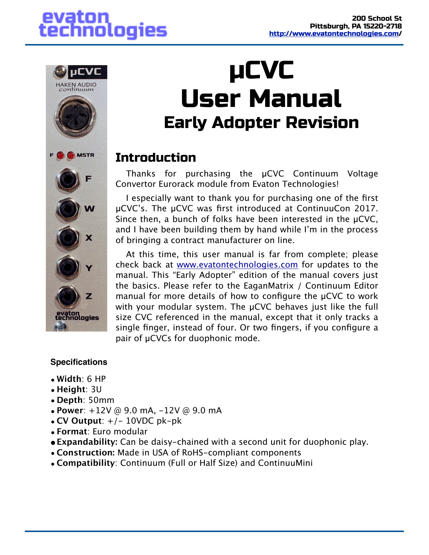## evaton technologies



## µCVC User Manual Early Adopter Revision

## **Introduction**

Thanks for purchasing the µCVC Continuum Voltage Convertor Eurorack module from Evaton Technologies!

I especially want to thank you for purchasing one of the first µCVC's. The µCVC was first introduced at ContinuuCon 2017. Since then, a bunch of folks have been interested in the µCVC, and I have been building them by hand while I'm in the process of bringing a contract manufacturer on line.

At this time, this user manual is far from complete; please check back at [www.evatontechnologies.com](http://www.evatontechnologies.com) for updates to the manual. This "Early Adopter" edition of the manual covers just the basics. Please refer to the EaganMatrix / Continuum Editor manual for more details of how to configure the µCVC to work with your modular system. The µCVC behaves just like the full size CVC referenced in the manual, except that it only tracks a single finger, instead of four. Or two fingers, if you configure a pair of µCVCs for duophonic mode.

#### **Specifications**

- **Width**: 6 HP
- **Height**: 3U
- **Depth**: 50mm
- **Power**: +12V @ 9.0 mA, -12V @ 9.0 mA
- $CV$  Output:  $+/- 10VDC$   $pk-pk$
- **Format**: Euro modular
- **•Expandability:** Can be daisy-chained with a second unit for duophonic play.
- **Construction:** Made in USA of RoHS-compliant components
- **Compatibility**: Continuum (Full or Half Size) and ContinuuMini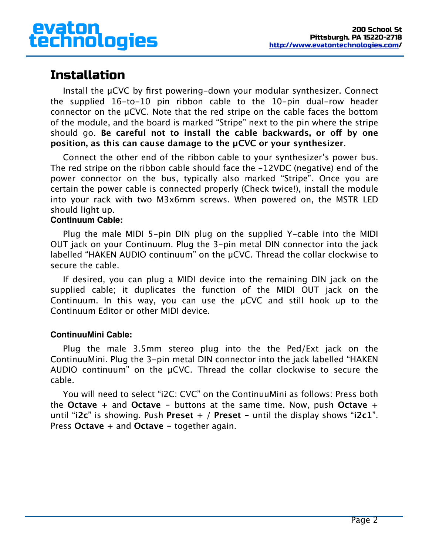## Installation

Install the µCVC by first powering-down your modular synthesizer. Connect the supplied 16-to-10 pin ribbon cable to the 10-pin dual-row header connector on the µCVC. Note that the red stripe on the cable faces the bottom of the module, and the board is marked "Stripe" next to the pin where the stripe should go. **Be careful not to install the cable backwards, or of by one position, as this can cause damage to the µCVC or your synthesizer**.

Connect the other end of the ribbon cable to your synthesizer's power bus. The red stripe on the ribbon cable should face the -12VDC (negative) end of the power connector on the bus, typically also marked "Stripe". Once you are certain the power cable is connected properly (Check twice!), install the module into your rack with two M3x6mm screws. When powered on, the MSTR LED should light up.

#### **Continuum Cable:**

Plug the male MIDI 5-pin DIN plug on the supplied Y-cable into the MIDI OUT jack on your Continuum. Plug the 3-pin metal DIN connector into the jack labelled "HAKEN AUDIO continuum" on the µCVC. Thread the collar clockwise to secure the cable.

If desired, you can plug a MIDI device into the remaining DIN jack on the supplied cable; it duplicates the function of the MIDI OUT jack on the Continuum. In this way, you can use the µCVC and still hook up to the Continuum Editor or other MIDI device.

#### **ContinuuMini Cable:**

Plug the male 3.5mm stereo plug into the the Ped/Ext jack on the ContinuuMini. Plug the 3-pin metal DIN connector into the jack labelled "HAKEN AUDIO continuum" on the µCVC. Thread the collar clockwise to secure the cable.

You will need to select "i2C: CVC" on the ContinuuMini as follows: Press both the **Octave +** and **Octave -** buttons at the same time. Now, push **Octave +** until "**i2c**" is showing. Push **Preset +** / **Preset -** until the display shows "**i2c1**". Press **Octave +** and **Octave -** together again.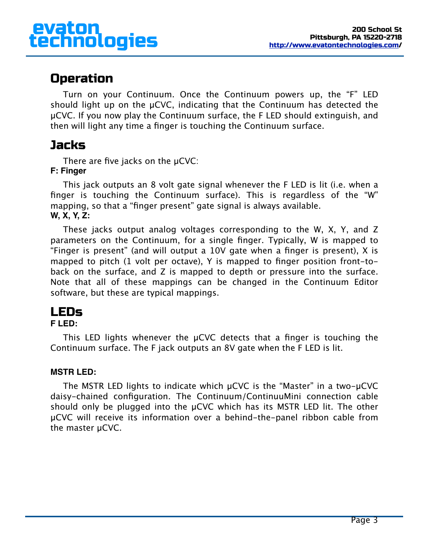## Operation

Turn on your Continuum. Once the Continuum powers up, the "F" LED should light up on the µCVC, indicating that the Continuum has detected the µCVC. If you now play the Continuum surface, the F LED should extinguish, and then will light any time a finger is touching the Continuum surface.

## **Jacks**

There are five jacks on the µCVC:

#### **F: Finger**

This jack outputs an 8 volt gate signal whenever the F LED is lit (i.e. when a finger is touching the Continuum surface). This is regardless of the "W" mapping, so that a "finger present" gate signal is always available. **W, X, Y, Z:**

These jacks output analog voltages corresponding to the W, X, Y, and Z parameters on the Continuum, for a single finger. Typically, W is mapped to "Finger is present" (and will output a 10V gate when a finger is present), X is mapped to pitch (1 volt per octave), Y is mapped to finger position front-toback on the surface, and Z is mapped to depth or pressure into the surface. Note that all of these mappings can be changed in the Continuum Editor software, but these are typical mappings.

## LEDs

#### **F LED:**

This LED lights whenever the µCVC detects that a finger is touching the Continuum surface. The F jack outputs an 8V gate when the F LED is lit.

#### **MSTR LED:**

The MSTR LED lights to indicate which µCVC is the "Master" in a two-µCVC daisy-chained configuration. The Continuum/ContinuuMini connection cable should only be plugged into the µCVC which has its MSTR LED lit. The other µCVC will receive its information over a behind-the-panel ribbon cable from the master µCVC.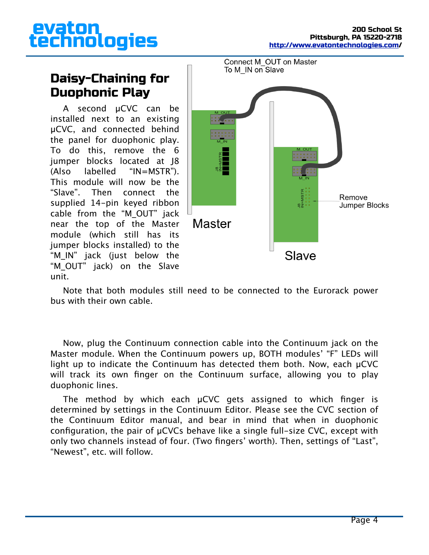# evaton<br>technologies

## Daisy-Chaining for Duophonic Play

A second µCVC can be installed next to an existing µCVC, and connected behind the panel for duophonic play. To do this, remove the 6 jumper blocks located at J8 (Also labelled "IN=MSTR"). This module will now be the "Slave". Then connect the supplied 14-pin keyed ribbon cable from the "M\_OUT" jack near the top of the Master module (which still has its jumper blocks installed) to the "M\_IN" jack (just below the "M OUT" jack) on the Slave unit.



Note that both modules still need to be connected to the Eurorack power bus with their own cable.

Now, plug the Continuum connection cable into the Continuum jack on the Master module. When the Continuum powers up, BOTH modules' "F" LEDs will light up to indicate the Continuum has detected them both. Now, each µCVC will track its own finger on the Continuum surface, allowing you to play duophonic lines.

The method by which each µCVC gets assigned to which finger is determined by settings in the Continuum Editor. Please see the CVC section of the Continuum Editor manual, and bear in mind that when in duophonic configuration, the pair of µCVCs behave like a single full-size CVC, except with only two channels instead of four. (Two fingers' worth). Then, settings of "Last", "Newest", etc. will follow.